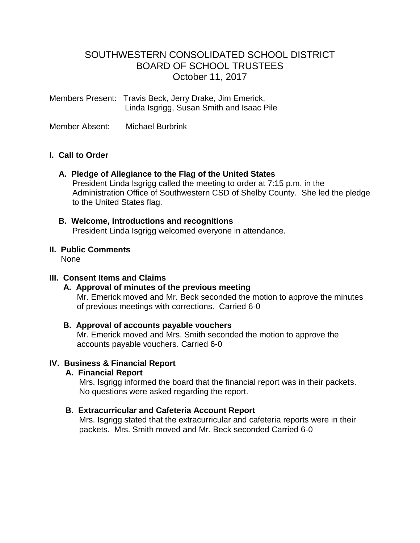# SOUTHWESTERN CONSOLIDATED SCHOOL DISTRICT BOARD OF SCHOOL TRUSTEES October 11, 2017

Members Present: Travis Beck, Jerry Drake, Jim Emerick, Linda Isgrigg, Susan Smith and Isaac Pile

Member Absent: Michael Burbrink

### **I. Call to Order**

### **A. Pledge of Allegiance to the Flag of the United States**

 President Linda Isgrigg called the meeting to order at 7:15 p.m. in the Administration Office of Southwestern CSD of Shelby County. She led the pledge to the United States flag.

### **B. Welcome, introductions and recognitions**

President Linda Isgrigg welcomed everyone in attendance.

## **II. Public Comments**

None

### **III. Consent Items and Claims**

### **A. Approval of minutes of the previous meeting**

Mr. Emerick moved and Mr. Beck seconded the motion to approve the minutes of previous meetings with corrections. Carried 6-0

## **B. Approval of accounts payable vouchers**

 Mr. Emerick moved and Mrs. Smith seconded the motion to approve the accounts payable vouchers. Carried 6-0

## **IV. Business & Financial Report**

### **A. Financial Report**

 Mrs. Isgrigg informed the board that the financial report was in their packets. No questions were asked regarding the report.

## **B. Extracurricular and Cafeteria Account Report**

Mrs. Isgrigg stated that the extracurricular and cafeteria reports were in their packets. Mrs. Smith moved and Mr. Beck seconded Carried 6-0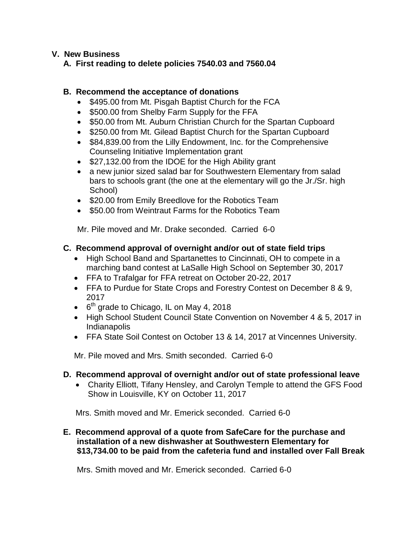### **V. New Business**

### **A. First reading to delete policies 7540.03 and 7560.04**

### **B. Recommend the acceptance of donations**

- \$495.00 from Mt. Pisgah Baptist Church for the FCA
- \$500.00 from Shelby Farm Supply for the FFA
- \$50.00 from Mt. Auburn Christian Church for the Spartan Cupboard
- \$250.00 from Mt. Gilead Baptist Church for the Spartan Cupboard
- \$84,839.00 from the Lilly Endowment, Inc. for the Comprehensive Counseling Initiative Implementation grant
- \$27,132.00 from the IDOE for the High Ability grant
- a new junior sized salad bar for Southwestern Elementary from salad bars to schools grant (the one at the elementary will go the Jr./Sr. high School)
- \$20.00 from Emily Breedlove for the Robotics Team
- \$50.00 from Weintraut Farms for the Robotics Team

Mr. Pile moved and Mr. Drake seconded. Carried 6-0

## **C. Recommend approval of overnight and/or out of state field trips**

- High School Band and Spartanettes to Cincinnati, OH to compete in a marching band contest at LaSalle High School on September 30, 2017
- FFA to Trafalgar for FFA retreat on October 20-22, 2017
- FFA to Purdue for State Crops and Forestry Contest on December 8 & 9, 2017
- $\bullet$  6<sup>th</sup> grade to Chicago, IL on May 4, 2018
- High School Student Council State Convention on November 4 & 5, 2017 in Indianapolis
- FFA State Soil Contest on October 13 & 14, 2017 at Vincennes University.

Mr. Pile moved and Mrs. Smith seconded. Carried 6-0

## **D. Recommend approval of overnight and/or out of state professional leave**

 Charity Elliott, Tifany Hensley, and Carolyn Temple to attend the GFS Food Show in Louisville, KY on October 11, 2017

Mrs. Smith moved and Mr. Emerick seconded. Carried 6-0

### **E. Recommend approval of a quote from SafeCare for the purchase and installation of a new dishwasher at Southwestern Elementary for \$13,734.00 to be paid from the cafeteria fund and installed over Fall Break**

Mrs. Smith moved and Mr. Emerick seconded. Carried 6-0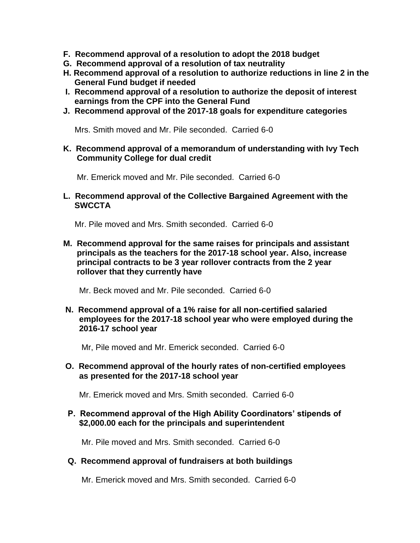- **F. Recommend approval of a resolution to adopt the 2018 budget**
- **G. Recommend approval of a resolution of tax neutrality**
- **H. Recommend approval of a resolution to authorize reductions in line 2 in the General Fund budget if needed**
- **I. Recommend approval of a resolution to authorize the deposit of interest earnings from the CPF into the General Fund**
- **J. Recommend approval of the 2017-18 goals for expenditure categories**

Mrs. Smith moved and Mr. Pile seconded. Carried 6-0

 **K. Recommend approval of a memorandum of understanding with Ivy Tech Community College for dual credit**

Mr. Emerick moved and Mr. Pile seconded. Carried 6-0

 **L. Recommend approval of the Collective Bargained Agreement with the SWCCTA**

Mr. Pile moved and Mrs. Smith seconded. Carried 6-0

 **M. Recommend approval for the same raises for principals and assistant principals as the teachers for the 2017-18 school year. Also, increase principal contracts to be 3 year rollover contracts from the 2 year rollover that they currently have**

Mr. Beck moved and Mr. Pile seconded. Carried 6-0

 **N. Recommend approval of a 1% raise for all non-certified salaried employees for the 2017-18 school year who were employed during the 2016-17 school year**

Mr, Pile moved and Mr. Emerick seconded. Carried 6-0

 **O. Recommend approval of the hourly rates of non-certified employees as presented for the 2017-18 school year**

Mr. Emerick moved and Mrs. Smith seconded. Carried 6-0

 **P. Recommend approval of the High Ability Coordinators' stipends of \$2,000.00 each for the principals and superintendent**

Mr. Pile moved and Mrs. Smith seconded. Carried 6-0

#### **Q. Recommend approval of fundraisers at both buildings**

Mr. Emerick moved and Mrs. Smith seconded. Carried 6-0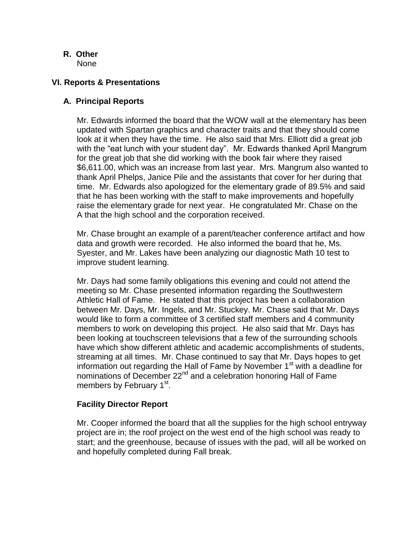- **R. Other**
	- None

### **VI. Reports & Presentations**

### **A. Principal Reports**

Mr. Edwards informed the board that the WOW wall at the elementary has been updated with Spartan graphics and character traits and that they should come look at it when they have the time. He also said that Mrs. Elliott did a great job with the "eat lunch with your student day". Mr. Edwards thanked April Mangrum for the great job that she did working with the book fair where they raised \$6,611.00, which was an increase from last year. Mrs. Mangrum also wanted to thank April Phelps, Janice Pile and the assistants that cover for her during that time. Mr. Edwards also apologized for the elementary grade of 89.5% and said that he has been working with the staff to make improvements and hopefully raise the elementary grade for next year. He congratulated Mr. Chase on the A that the high school and the corporation received.

 Mr. Chase brought an example of a parent/teacher conference artifact and how data and growth were recorded. He also informed the board that he, Ms. Syester, and Mr. Lakes have been analyzing our diagnostic Math 10 test to improve student learning.

 Mr. Days had some family obligations this evening and could not attend the meeting so Mr. Chase presented information regarding the Southwestern Athletic Hall of Fame. He stated that this project has been a collaboration between Mr. Days, Mr. Ingels, and Mr. Stuckey. Mr. Chase said that Mr. Days would like to form a committee of 3 certified staff members and 4 community members to work on developing this project. He also said that Mr. Days has been looking at touchscreen televisions that a few of the surrounding schools have which show different athletic and academic accomplishments of students, streaming at all times. Mr. Chase continued to say that Mr. Days hopes to get information out regarding the Hall of Fame by November  $1<sup>st</sup>$  with a deadline for nominations of December 22<sup>nd</sup> and a celebration honoring Hall of Fame members by February 1<sup>st</sup>.

### **Facility Director Report**

Mr. Cooper informed the board that all the supplies for the high school entryway project are in; the roof project on the west end of the high school was ready to start; and the greenhouse, because of issues with the pad, will all be worked on and hopefully completed during Fall break.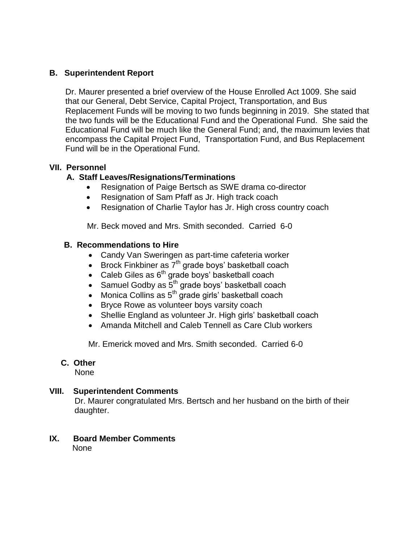### **B. Superintendent Report**

 Dr. Maurer presented a brief overview of the House Enrolled Act 1009. She said that our General, Debt Service, Capital Project, Transportation, and Bus Replacement Funds will be moving to two funds beginning in 2019. She stated that the two funds will be the Educational Fund and the Operational Fund. She said the Educational Fund will be much like the General Fund; and, the maximum levies that encompass the Capital Project Fund, Transportation Fund, and Bus Replacement Fund will be in the Operational Fund.

### **VII. Personnel**

## **A. Staff Leaves/Resignations/Terminations**

- Resignation of Paige Bertsch as SWE drama co-director
- Resignation of Sam Pfaff as Jr. High track coach
- Resignation of Charlie Taylor has Jr. High cross country coach

Mr. Beck moved and Mrs. Smith seconded. Carried 6-0

#### **B. Recommendations to Hire**

- Candy Van Sweringen as part-time cafeteria worker
- $\bullet$  Brock Finkbiner as  $7<sup>th</sup>$  grade boys' basketball coach
- Caleb Giles as  $6<sup>th</sup>$  grade boys' basketball coach
- Samuel Godby as  $5<sup>th</sup>$  grade boys' basketball coach
- $\bullet$  Monica Collins as  $5^{th}$  grade girls' basketball coach
- Bryce Rowe as volunteer boys varsity coach
- Shellie England as volunteer Jr. High girls' basketball coach
- Amanda Mitchell and Caleb Tennell as Care Club workers

Mr. Emerick moved and Mrs. Smith seconded. Carried 6-0

### **C. Other**

None

### **VIII. Superintendent Comments**

 Dr. Maurer congratulated Mrs. Bertsch and her husband on the birth of their daughter.

**IX. Board Member Comments** None